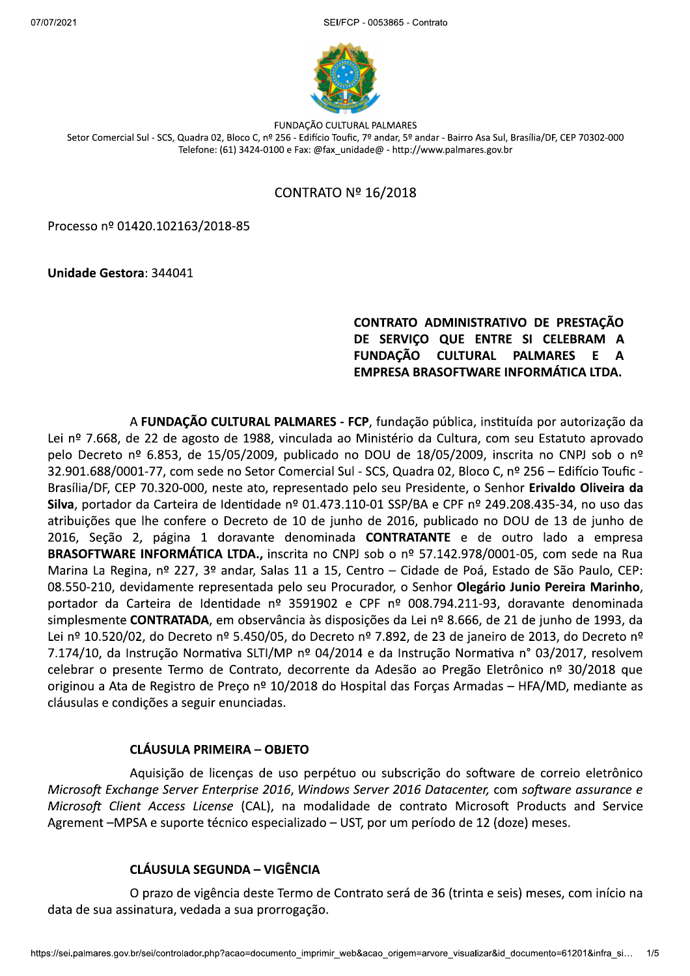$2021$ FCP - 0053865 - Contrato



FUNDACÃO CULTURAL PALMARES Setor Comercial Sul - SCS, Quadra 02, Bloco C, nº 256 - Edifício Toufic, 7º andar, 5º andar - Bairro Asa Sul, Brasília/DF, CEP 70302-000 Telefone: (61) 3424-0100 e Fax: @fax unidade@ - http://www.palmares.gov.br

## CONTRATO Nº 16/2018

Processo nº 01420.102163/2018-85

Unidade Gestora: 344041

# 55 CONTRATO ADMINISTRATIVO DE PRESTAÇÃO<br>1955 DE SERVIÇO QUE ENTRE SI CELEBRAM A<br>FUNDAÇÃO CULTURAL PALMARES E A EMPRESA BRASOFTWARE INFORMÁTICA LTDA.

A FUNDAÇÃO CULTURAL PALMARES - FCP, fundação pública, instituída por autorização da Lei nº 7.668, de 22 de agosto de 1988, vinculada ao Ministério da Cultura, com seu Estatuto aprovado pelo Decreto nº 6.853, de 15/05/2009, publicado no DOU de 18/05/2009, inscrita no CNPJ sob o nº 32.901.688/0001-77, com sede no Setor Comercial Sul - SCS, Quadra 02, Bloco C, nº 256 - Edifício Toufic -Brasília/DF, CEP 70.320-000, neste ato, representado pelo seu Presidente, o Senhor Erivaldo Oliveira da Silva, portador da Carteira de Identidade nº 01.473.110-01 SSP/BA e CPF nº 249.208.435-34, no uso das atribuições que lhe confere o Decreto de 10 de junho de 2016, publicado no DOU de 13 de junho de 2016, Seção 2, página 1 doravante denominada CONTRATANTE e de outro lado a empresa BRASOFTWARE INFORMÁTICA LTDA., inscrita no CNPJ sob o nº 57.142.978/0001-05, com sede na Rua Marina La Regina, nº 227, 3º andar, Salas 11 a 15, Centro - Cidade de Poá, Estado de São Paulo, CEP: 08.550-210, devidamente representada pelo seu Procurador, o Senhor Olegário Junio Pereira Marinho, portador da Carteira de Identidade nº 3591902 e CPF nº 008.794.211-93, doravante denominada simplesmente CONTRATADA, em observância às disposições da Lei nº 8.666, de 21 de junho de 1993, da Lei nº 10.520/02, do Decreto nº 5.450/05, do Decreto nº 7.892, de 23 de janeiro de 2013, do Decreto nº 7.174/10, da Instrução Normativa SLTI/MP nº 04/2014 e da Instrução Normativa nº 03/2017, resolvem celebrar o presente Termo de Contrato, decorrente da Adesão ao Pregão Eletrônico nº 30/2018 que originou a Ata de Registro de Preço nº 10/2018 do Hospital das Forças Armadas – HFA/MD, mediante as cláusulas e condições a seguir enunciadas.

### CLÁUSULA PRIMEIRA - OBJETO

Aquisição de licenças de uso perpétuo ou subscrição do software de correio eletrônico Microsoft Exchange Server Enterprise 2016, Windows Server 2016 Datacenter, com software assurance e Microsoft Client Access License (CAL), na modalidade de contrato Microsoft Products and Service Agrement - MPSA e suporte técnico especializado - UST, por um período de 12 (doze) meses.

# CLÁUSULA SEGUNDA - VIGÊNCIA

**JSULA SEGUNDA — VIGÊNCIA**<br>azo de vigência deste Termo de Contrato será de 36 (trinta e seis) meses, com início na<br>ura, vedada a sua prorrogação.<br>controlador.php?acao=documento\_imprimir\_web&acao\_origem=arvore\_visualizar&id O prazo de vigência deste Termo de Contrato será de 36 (trinta e seis) meses, com início na data de sua assinatura, vedada a sua prorrogação.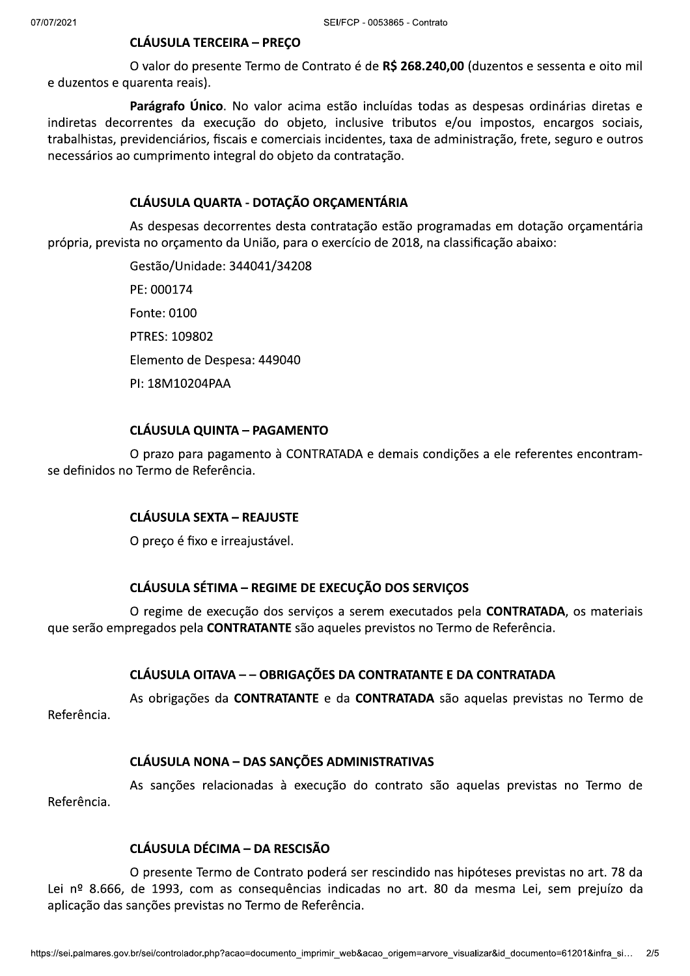# **CLÁUSULA TERCEIRA - PREÇO**

O valor do presente Termo de Contrato é de R\$ 268.240,00 (duzentos e sessenta e oito mil e duzentos e quarenta reais).

Parágrafo Único. No valor acima estão incluídas todas as despesas ordinárias diretas e indiretas decorrentes da execução do objeto, inclusive tributos e/ou impostos, encargos sociais, trabalhistas, previdenciários, fiscais e comerciais incidentes, taxa de administração, frete, seguro e outros necessários ao cumprimento integral do objeto da contratação.

# CLÁUSULA QUARTA - DOTAÇÃO ORCAMENTÁRIA

As despesas decorrentes desta contratação estão programadas em dotação orçamentária própria, prevista no orçamento da União, para o exercício de 2018, na classificação abaixo:

> Gestão/Unidade: 344041/34208 PE: 000174 Fonte: 0100 PTRES: 109802 Elemento de Despesa: 449040 PI: 18M10204PAA

# **CLÁUSULA QUINTA - PAGAMENTO**

O prazo para pagamento à CONTRATADA e demais condições a ele referentes encontramse definidos no Termo de Referência.

### **CLÁUSULA SEXTA - REAJUSTE**

O preço é fixo e irreajustável.

### **CLÁUSULA SÉTIMA - REGIME DE EXECUÇÃO DOS SERVICOS**

O regime de execução dos serviços a serem executados pela **CONTRATADA**, os materiais que serão empregados pela CONTRATANTE são aqueles previstos no Termo de Referência.

# CLÁUSULA OITAVA - - OBRIGAÇÕES DA CONTRATANTE E DA CONTRATADA

As obrigações da CONTRATANTE e da CONTRATADA são aquelas previstas no Termo de Referência.

### **CLÁUSULA NONA - DAS SANCÕES ADMINISTRATIVAS**

As sanções relacionadas à execução do contrato são aquelas previstas no Termo de Referência.

# CLÁUSULA DÉCIMA - DA RESCISÃO

O presente Termo de Contrato poderá ser rescindido nas hipóteses previstas no art. 78 da Lei nº 8.666, de 1993, com as consequências indicadas no art. 80 da mesma Lei, sem prejuízo da aplicação das sanções previstas no Termo de Referência.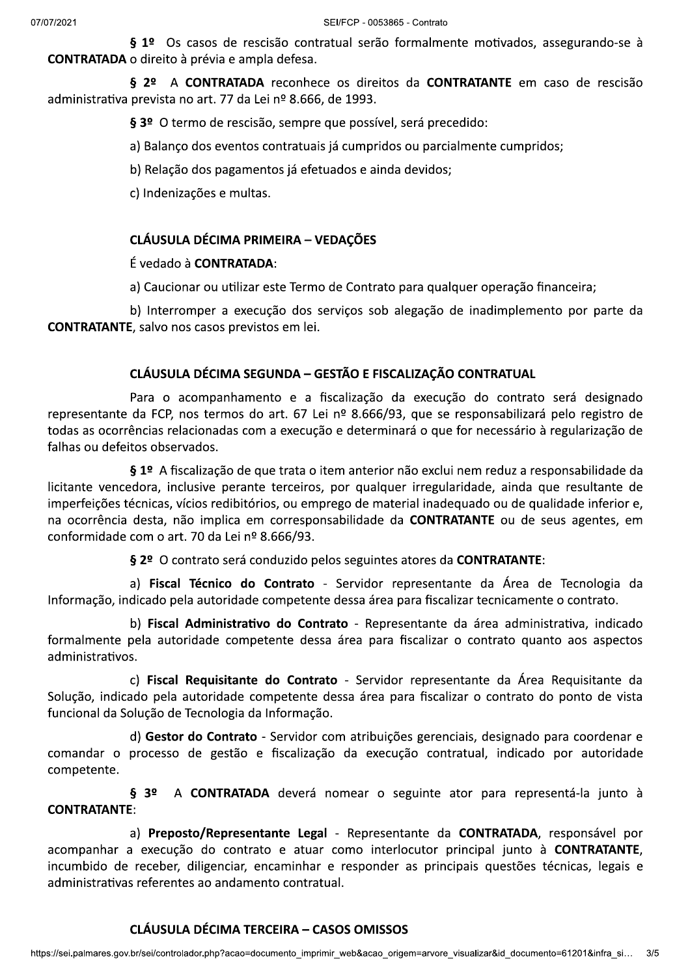§ 1º Os casos de rescisão contratual serão formalmente motivados, assegurando-se à **CONTRATADA** o direito à prévia e ampla defesa.

§ 2º A CONTRATADA reconhece os direitos da CONTRATANTE em caso de rescisão administrativa prevista no art. 77 da Lei nº 8.666, de 1993.

§ 3º O termo de rescisão, sempre que possível, será precedido:

a) Balanço dos eventos contratuais já cumpridos ou parcialmente cumpridos;

b) Relação dos pagamentos já efetuados e ainda devidos;

c) Indenizações e multas.

#### **CLÁUSULA DÉCIMA PRIMEIRA - VEDAÇÕES**

#### $\acute{F}$  vedado à **CONTRATADA**:

a) Caucionar ou utilizar este Termo de Contrato para qualquer operação financeira;

b) Interromper a execução dos serviços sob alegação de inadimplemento por parte da **CONTRATANTE**, salvo nos casos previstos em lei.

### CLÁUSULA DÉCIMA SEGUNDA - GESTÃO E FISCALIZAÇÃO CONTRATUAL

Para o acompanhamento e a fiscalização da execução do contrato será designado representante da FCP, nos termos do art. 67 Lei nº 8.666/93, que se responsabilizará pelo registro de todas as ocorrências relacionadas com a execução e determinará o que for necessário à regularização de falhas ou defeitos observados.

§ 1º A fiscalização de que trata o item anterior não exclui nem reduz a responsabilidade da licitante vencedora, inclusive perante terceiros, por qualquer irregularidade, ainda que resultante de imperfeições técnicas, vícios redibitórios, ou emprego de material inadequado ou de qualidade inferior e. na ocorrência desta, não implica em corresponsabilidade da CONTRATANTE ou de seus agentes, em conformidade com o art. 70 da Lei nº 8.666/93.

§ 2º O contrato será conduzido pelos seguintes atores da CONTRATANTE:

a) Fiscal Técnico do Contrato - Servidor representante da Área de Tecnologia da Informação, indicado pela autoridade competente dessa área para fiscalizar tecnicamente o contrato.

b) Fiscal Administrativo do Contrato - Representante da área administrativa, indicado formalmente pela autoridade competente dessa área para fiscalizar o contrato quanto aos aspectos administrativos.

c) Fiscal Requisitante do Contrato - Servidor representante da Área Requisitante da Solução, indicado pela autoridade competente dessa área para fiscalizar o contrato do ponto de vista funcional da Solução de Tecnologia da Informação.

d) Gestor do Contrato - Servidor com atribuições gerenciais, designado para coordenar e comandar o processo de gestão e fiscalização da execução contratual, indicado por autoridade competente.

 $§ 3^{\circ}$ A CONTRATADA deverá nomear o seguinte ator para representá-la junto à **CONTRATANTE:** 

a) Preposto/Representante Legal - Representante da CONTRATADA, responsável por acompanhar a execução do contrato e atuar como interlocutor principal junto à CONTRATANTE, incumbido de receber, diligenciar, encaminhar e responder as principais questões técnicas, legais e administrativas referentes ao andamento contratual.

# **CLÁUSULA DÉCIMA TERCEIRA - CASOS OMISSOS**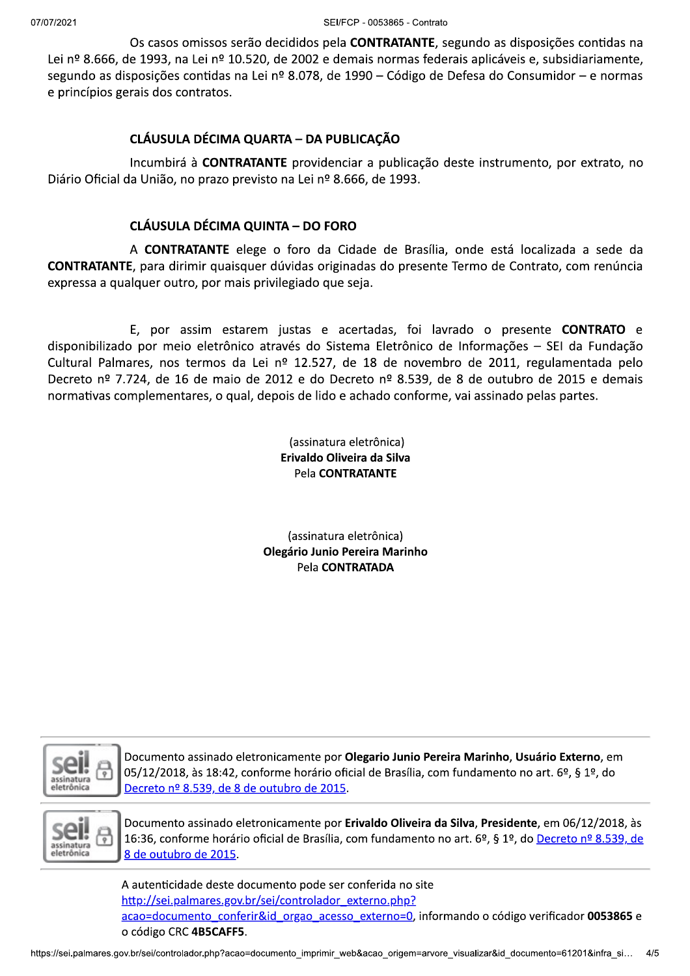Os casos omissos serão decididos pela **CONTRATANTE**, segundo as disposições contidas na Lei nº 8.666, de 1993, na Lei nº 10.520, de 2002 e demais normas federais aplicáveis e, subsidiariamente, segundo as disposições contidas na Lei nº 8.078, de 1990 – Código de Defesa do Consumidor – e normas e princípios gerais dos contratos.

### CLÁUSULA DÉCIMA QUARTA - DA PUBLICAÇÃO

Incumbirá à **CONTRATANTE** providenciar a publicação deste instrumento, por extrato, no Diário Oficial da União, no prazo previsto na Lei nº 8.666, de 1993.

# CLÁUSULA DÉCIMA QUINTA - DO FORO

A **CONTRATANTE** elege o foro da Cidade de Brasília, onde está localizada a sede da CONTRATANTE, para dirimir quaisquer dúvidas originadas do presente Termo de Contrato, com renúncia expressa a qualquer outro, por mais privilegiado que seja.

E, por assim estarem justas e acertadas, foi lavrado o presente CONTRATO e disponibilizado por meio eletrônico através do Sistema Eletrônico de Informações - SEI da Fundação Cultural Palmares, nos termos da Lei nº 12.527, de 18 de novembro de 2011, regulamentada pelo Decreto nº 7.724, de 16 de maio de 2012 e do Decreto nº 8.539, de 8 de outubro de 2015 e demais normativas complementares, o qual, depois de lido e achado conforme, vai assinado pelas partes.

> (assinatura eletrônica) Erivaldo Oliveira da Silva Pela CONTRATANTE

(assinatura eletrônica) Olegário Junio Pereira Marinho Pela CONTRATADA



Documento assinado eletronicamente por Olegario Junio Pereira Marinho, Usuário Externo, em 05/12/2018, às 18:42, conforme horário oficial de Brasília, com fundamento no art. 6º, § 1º, do Decreto nº 8.539, de 8 de outubro de 2015.



Documento assinado eletronicamente por Erivaldo Oliveira da Silva. Presidente, em 06/12/2018, às 16:36, conforme horário oficial de Brasília, com fundamento no art. 6º, § 1º, do Decreto nº 8.539, de 8 de outubro de 2015.

nticidade deste documento pode ser conferida no site<br><u>sei palmares.gov.br/sei/controlador\_externo.php?</u><br><u>locumento\_conferir&id\_orgao\_acesso\_externo=0</u>, informando o código verificador **0053865** e<br>go CRC **4B5CAFF5**.<br>control A autenticidade deste documento pode ser conferida no site http://sei.palmares.gov.br/sei/controlador externo.php? acao=documento\_conferir&id\_orgao\_acesso\_externo=0, informando o código verificador 0053865 e o código CRC 4B5CAFF5.